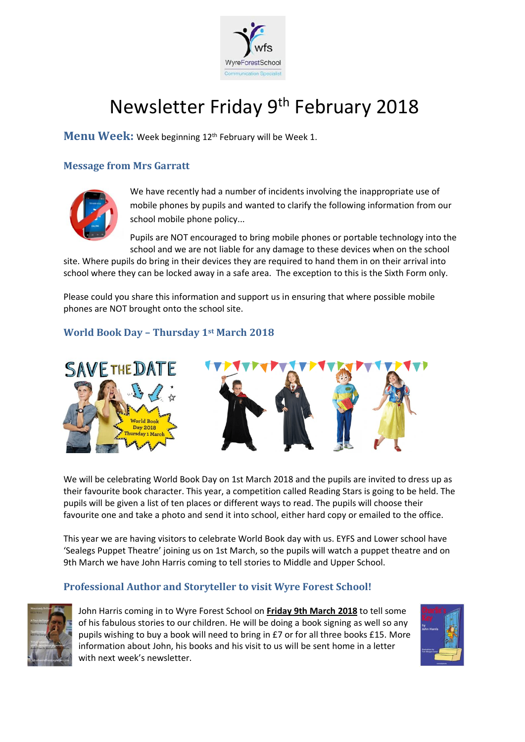

# Newsletter Friday 9<sup>th</sup> February 2018

Menu Week: Week beginning 12<sup>th</sup> February will be Week 1.

## **Message from Mrs Garratt**



We have recently had a number of incidents involving the inappropriate use of mobile phones by pupils and wanted to clarify the following information from our school mobile phone policy...

Pupils are NOT encouraged to bring mobile phones or portable technology into the school and we are not liable for any damage to these devices when on the school

site. Where pupils do bring in their devices they are required to hand them in on their arrival into school where they can be locked away in a safe area. The exception to this is the Sixth Form only.

Please could you share this information and support us in ensuring that where possible mobile phones are NOT brought onto the school site.

## **World Book Day – Thursday 1st March 2018**



We will be celebrating World Book Day on 1st March 2018 and the pupils are invited to dress up as their favourite book character. This year, a competition called Reading Stars is going to be held. The pupils will be given a list of ten places or different ways to read. The pupils will choose their favourite one and take a photo and send it into school, either hard copy or emailed to the office.

This year we are having visitors to celebrate World Book day with us. EYFS and Lower school have 'Sealegs Puppet Theatre' joining us on 1st March, so the pupils will watch a puppet theatre and on 9th March we have John Harris coming to tell stories to Middle and Upper School.

#### **Professional Author and Storyteller to visit Wyre Forest School!**



John Harris coming in to Wyre Forest School on **Friday 9th March 2018** to tell some of his fabulous stories to our children. He will be doing a book signing as well so any pupils wishing to buy a book will need to bring in £7 or for all three books £15. More information about John, his books and his visit to us will be sent home in a letter with next week's newsletter.